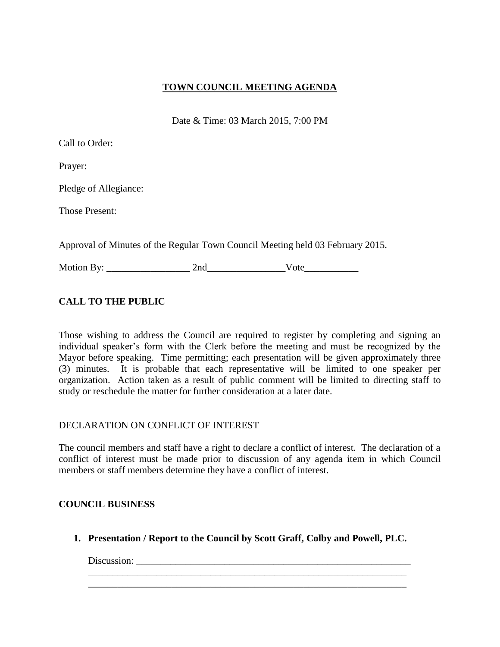## **TOWN COUNCIL MEETING AGENDA**

Date & Time: 03 March 2015, 7:00 PM

|  |  | Call to Order: |
|--|--|----------------|
|--|--|----------------|

Prayer:

Pledge of Allegiance:

Those Present:

Approval of Minutes of the Regular Town Council Meeting held 03 February 2015.

Motion By: \_\_\_\_\_\_\_\_\_\_\_\_\_\_\_\_\_ 2nd\_\_\_\_\_\_\_\_\_\_\_\_\_\_\_\_Vote\_\_\_\_\_\_\_\_\_\_\_

# **CALL TO THE PUBLIC**

Those wishing to address the Council are required to register by completing and signing an individual speaker's form with the Clerk before the meeting and must be recognized by the Mayor before speaking. Time permitting; each presentation will be given approximately three (3) minutes. It is probable that each representative will be limited to one speaker per organization. Action taken as a result of public comment will be limited to directing staff to study or reschedule the matter for further consideration at a later date.

### DECLARATION ON CONFLICT OF INTEREST

The council members and staff have a right to declare a conflict of interest. The declaration of a conflict of interest must be made prior to discussion of any agenda item in which Council members or staff members determine they have a conflict of interest.

## **COUNCIL BUSINESS**

**1. Presentation / Report to the Council by Scott Graff, Colby and Powell, PLC.**

\_\_\_\_\_\_\_\_\_\_\_\_\_\_\_\_\_\_\_\_\_\_\_\_\_\_\_\_\_\_\_\_\_\_\_\_\_\_\_\_\_\_\_\_\_\_\_\_\_\_\_\_\_\_\_\_\_\_\_\_\_\_\_\_\_ \_\_\_\_\_\_\_\_\_\_\_\_\_\_\_\_\_\_\_\_\_\_\_\_\_\_\_\_\_\_\_\_\_\_\_\_\_\_\_\_\_\_\_\_\_\_\_\_\_\_\_\_\_\_\_\_\_\_\_\_\_\_\_\_\_

Discussion: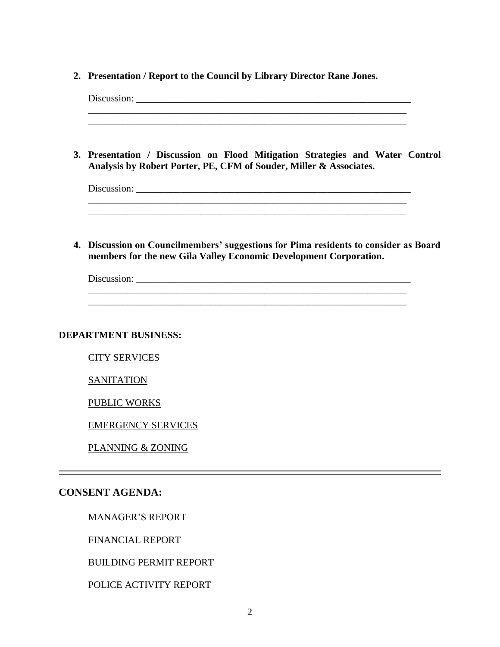**2. Presentation / Report to the Council by Library Director Rane Jones.**

| 3. Presentation / Discussion on Flood Mitigation Strategies and Water Control<br>Analysis by Robert Porter, PE, CFM of Souder, Miller & Associates.       |  |
|-----------------------------------------------------------------------------------------------------------------------------------------------------------|--|
| <u> 1989 - Johann Stoff, deutscher Stoff, der Stoff, der Stoff, der Stoff, der Stoff, der Stoff, der Stoff, der S</u>                                     |  |
| 4. Discussion on Councilmembers' suggestions for Pima residents to consider as Board<br>members for the new Gila Valley Economic Development Corporation. |  |
|                                                                                                                                                           |  |
| <b>DEPARTMENT BUSINESS:</b>                                                                                                                               |  |
| <b>CITY SERVICES</b>                                                                                                                                      |  |
| <b>SANITATION</b>                                                                                                                                         |  |
| <b>PUBLIC WORKS</b>                                                                                                                                       |  |
| <b>EMERGENCY SERVICES</b>                                                                                                                                 |  |
| PLANNING & ZONING                                                                                                                                         |  |
| <b>CONSENT AGENDA:</b>                                                                                                                                    |  |
| <b>MANAGER'S REPORT</b>                                                                                                                                   |  |
| <b>FINANCIAL REPORT</b>                                                                                                                                   |  |

BUILDING PERMIT REPORT

POLICE ACTIVITY REPORT